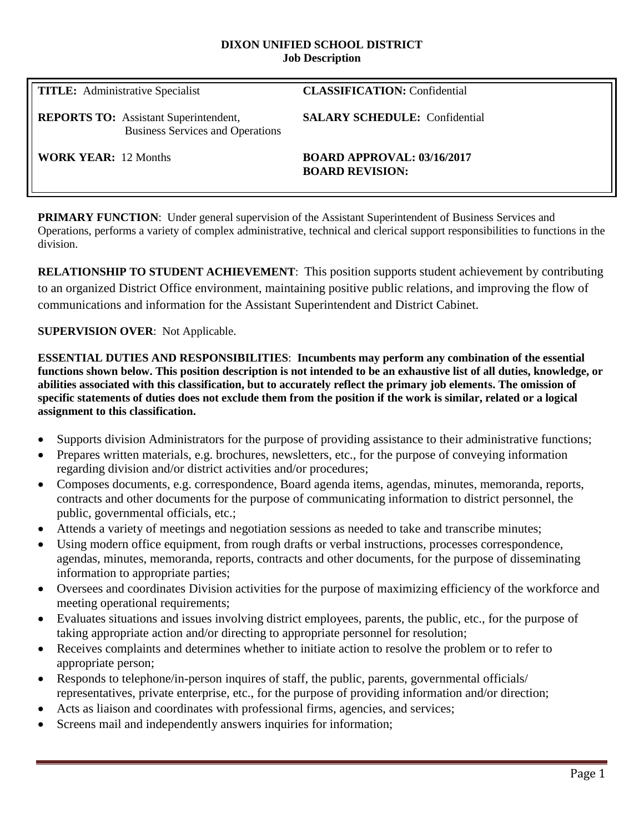#### **DIXON UNIFIED SCHOOL DISTRICT Job Description**

**TITLE:** Administrative Specialist **CLASSIFICATION:** Confidential

**REPORTS TO:** Assistant Superintendent, **SALARY SCHEDULE:** Confidential Business Services and Operations

**WORK YEAR:** 12 Months **BOARD APPROVAL: 03/16/2017 BOARD REVISION:**

**PRIMARY FUNCTION**: Under general supervision of the Assistant Superintendent of Business Services and Operations, performs a variety of complex administrative, technical and clerical support responsibilities to functions in the division.

**RELATIONSHIP TO STUDENT ACHIEVEMENT**: This position supports student achievement by contributing to an organized District Office environment, maintaining positive public relations, and improving the flow of communications and information for the Assistant Superintendent and District Cabinet.

### **SUPERVISION OVER**: Not Applicable.

**ESSENTIAL DUTIES AND RESPONSIBILITIES**: **Incumbents may perform any combination of the essential functions shown below. This position description is not intended to be an exhaustive list of all duties, knowledge, or abilities associated with this classification, but to accurately reflect the primary job elements. The omission of specific statements of duties does not exclude them from the position if the work is similar, related or a logical assignment to this classification.**

- Supports division Administrators for the purpose of providing assistance to their administrative functions;
- Prepares written materials, e.g. brochures, newsletters, etc., for the purpose of conveying information regarding division and/or district activities and/or procedures;
- Composes documents, e.g. correspondence, Board agenda items, agendas, minutes, memoranda, reports, contracts and other documents for the purpose of communicating information to district personnel, the public, governmental officials, etc.;
- Attends a variety of meetings and negotiation sessions as needed to take and transcribe minutes;
- Using modern office equipment, from rough drafts or verbal instructions, processes correspondence, agendas, minutes, memoranda, reports, contracts and other documents, for the purpose of disseminating information to appropriate parties;
- Oversees and coordinates Division activities for the purpose of maximizing efficiency of the workforce and meeting operational requirements;
- Evaluates situations and issues involving district employees, parents, the public, etc., for the purpose of taking appropriate action and/or directing to appropriate personnel for resolution;
- Receives complaints and determines whether to initiate action to resolve the problem or to refer to appropriate person;
- Responds to telephone/in-person inquires of staff, the public, parents, governmental officials/ representatives, private enterprise, etc., for the purpose of providing information and/or direction;
- Acts as liaison and coordinates with professional firms, agencies, and services;
- Screens mail and independently answers inquiries for information;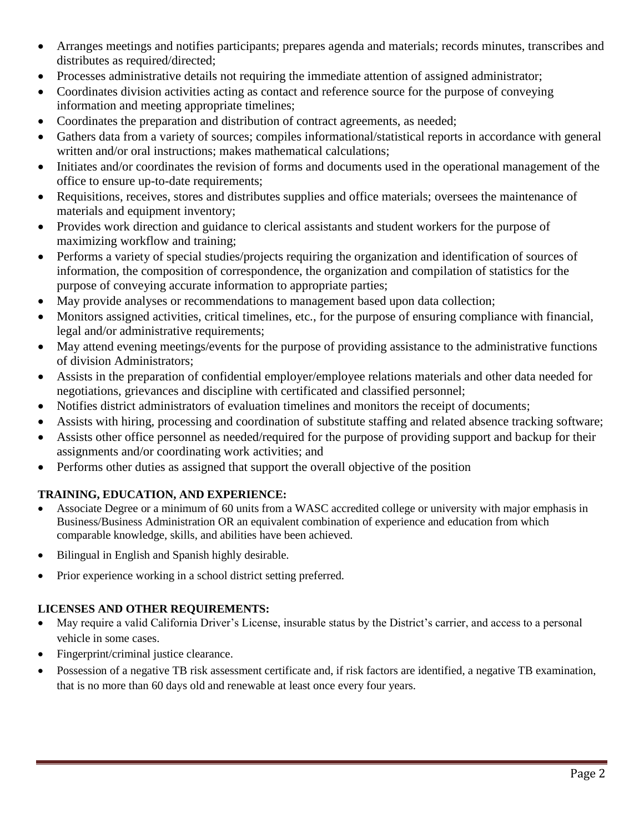- Arranges meetings and notifies participants; prepares agenda and materials; records minutes, transcribes and distributes as required/directed;
- Processes administrative details not requiring the immediate attention of assigned administrator;
- Coordinates division activities acting as contact and reference source for the purpose of conveying information and meeting appropriate timelines;
- Coordinates the preparation and distribution of contract agreements, as needed;
- Gathers data from a variety of sources; compiles informational/statistical reports in accordance with general written and/or oral instructions; makes mathematical calculations;
- Initiates and/or coordinates the revision of forms and documents used in the operational management of the office to ensure up-to-date requirements;
- Requisitions, receives, stores and distributes supplies and office materials; oversees the maintenance of materials and equipment inventory;
- Provides work direction and guidance to clerical assistants and student workers for the purpose of maximizing workflow and training;
- Performs a variety of special studies/projects requiring the organization and identification of sources of information, the composition of correspondence, the organization and compilation of statistics for the purpose of conveying accurate information to appropriate parties;
- May provide analyses or recommendations to management based upon data collection;
- Monitors assigned activities, critical timelines, etc., for the purpose of ensuring compliance with financial, legal and/or administrative requirements;
- May attend evening meetings/events for the purpose of providing assistance to the administrative functions of division Administrators;
- Assists in the preparation of confidential employer/employee relations materials and other data needed for negotiations, grievances and discipline with certificated and classified personnel;
- Notifies district administrators of evaluation timelines and monitors the receipt of documents;
- Assists with hiring, processing and coordination of substitute staffing and related absence tracking software;
- Assists other office personnel as needed/required for the purpose of providing support and backup for their assignments and/or coordinating work activities; and
- Performs other duties as assigned that support the overall objective of the position

# **TRAINING, EDUCATION, AND EXPERIENCE:**

- Associate Degree or a minimum of 60 units from a WASC accredited college or university with major emphasis in Business/Business Administration OR an equivalent combination of experience and education from which comparable knowledge, skills, and abilities have been achieved.
- Bilingual in English and Spanish highly desirable.
- Prior experience working in a school district setting preferred.

# **LICENSES AND OTHER REQUIREMENTS:**

- May require a valid California Driver's License, insurable status by the District's carrier, and access to a personal vehicle in some cases.
- Fingerprint/criminal justice clearance.
- Possession of a negative TB risk assessment certificate and, if risk factors are identified, a negative TB examination, that is no more than 60 days old and renewable at least once every four years.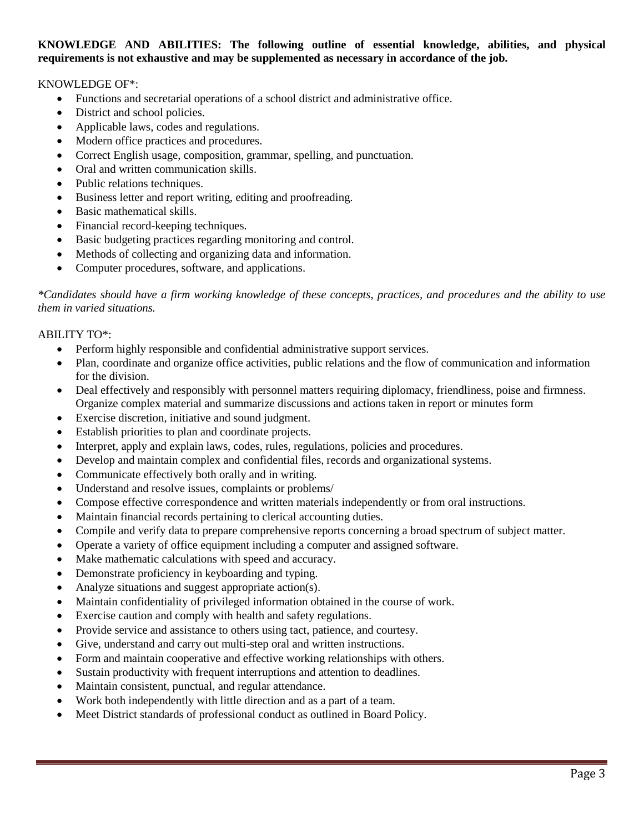### **KNOWLEDGE AND ABILITIES: The following outline of essential knowledge, abilities, and physical requirements is not exhaustive and may be supplemented as necessary in accordance of the job.**

### KNOWLEDGE OF\*:

- Functions and secretarial operations of a school district and administrative office.
- District and school policies.
- Applicable laws, codes and regulations.
- Modern office practices and procedures.
- Correct English usage, composition, grammar, spelling, and punctuation.
- Oral and written communication skills.
- Public relations techniques.
- Business letter and report writing, editing and proofreading.
- Basic mathematical skills.
- Financial record-keeping techniques.
- Basic budgeting practices regarding monitoring and control.
- Methods of collecting and organizing data and information.
- Computer procedures, software, and applications.

*\*Candidates should have a firm working knowledge of these concepts, practices, and procedures and the ability to use them in varied situations.*

#### ABILITY TO\*:

- Perform highly responsible and confidential administrative support services.
- Plan, coordinate and organize office activities, public relations and the flow of communication and information for the division.
- Deal effectively and responsibly with personnel matters requiring diplomacy, friendliness, poise and firmness. Organize complex material and summarize discussions and actions taken in report or minutes form
- Exercise discretion, initiative and sound judgment.
- Establish priorities to plan and coordinate projects.
- Interpret, apply and explain laws, codes, rules, regulations, policies and procedures.
- Develop and maintain complex and confidential files, records and organizational systems.
- Communicate effectively both orally and in writing.
- Understand and resolve issues, complaints or problems/
- Compose effective correspondence and written materials independently or from oral instructions.
- Maintain financial records pertaining to clerical accounting duties.
- Compile and verify data to prepare comprehensive reports concerning a broad spectrum of subject matter.
- Operate a variety of office equipment including a computer and assigned software.
- Make mathematic calculations with speed and accuracy.
- Demonstrate proficiency in keyboarding and typing.
- Analyze situations and suggest appropriate action(s).
- Maintain confidentiality of privileged information obtained in the course of work.
- Exercise caution and comply with health and safety regulations.
- Provide service and assistance to others using tact, patience, and courtesy.
- Give, understand and carry out multi-step oral and written instructions.
- Form and maintain cooperative and effective working relationships with others.
- Sustain productivity with frequent interruptions and attention to deadlines.
- Maintain consistent, punctual, and regular attendance.
- Work both independently with little direction and as a part of a team.
- Meet District standards of professional conduct as outlined in Board Policy.